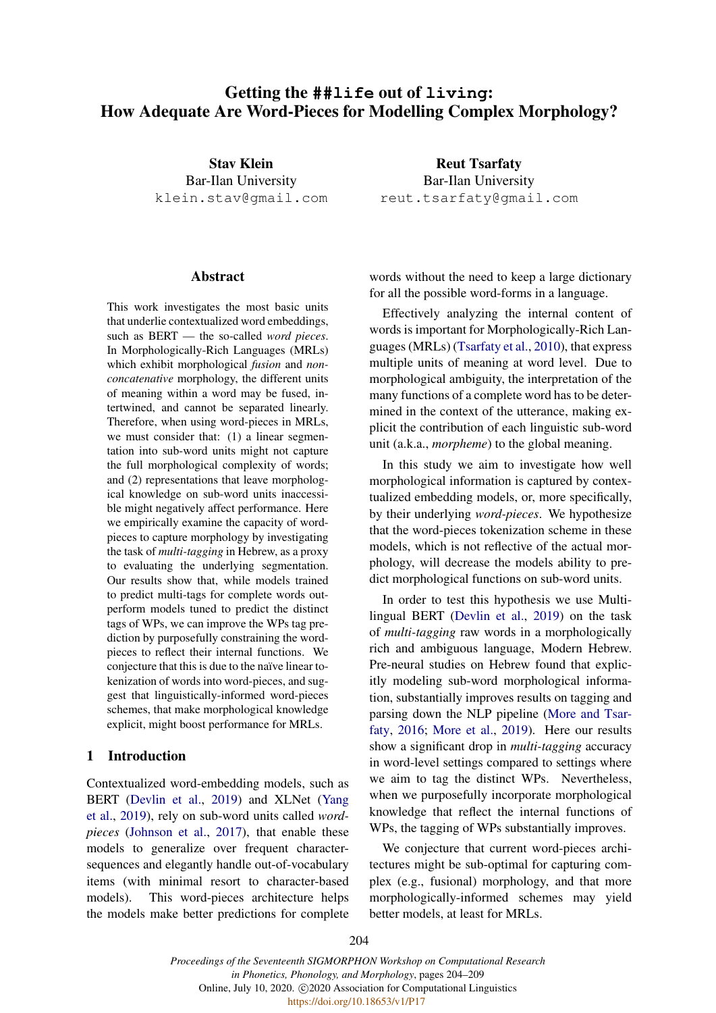# Getting the **##life** out of **living**: How Adequate Are Word-Pieces for Modelling Complex Morphology?

Stav Klein Bar-Ilan University klein.stav@gmail.com

#### Abstract

This work investigates the most basic units that underlie contextualized word embeddings, such as BERT — the so-called *word pieces*. In Morphologically-Rich Languages (MRLs) which exhibit morphological *fusion* and *nonconcatenative* morphology, the different units of meaning within a word may be fused, intertwined, and cannot be separated linearly. Therefore, when using word-pieces in MRLs, we must consider that: (1) a linear segmentation into sub-word units might not capture the full morphological complexity of words; and (2) representations that leave morphological knowledge on sub-word units inaccessible might negatively affect performance. Here we empirically examine the capacity of wordpieces to capture morphology by investigating the task of *multi-tagging* in Hebrew, as a proxy to evaluating the underlying segmentation. Our results show that, while models trained to predict multi-tags for complete words outperform models tuned to predict the distinct tags of WPs, we can improve the WPs tag prediction by purposefully constraining the wordpieces to reflect their internal functions. We conjecture that this is due to the naïve linear tokenization of words into word-pieces, and suggest that linguistically-informed word-pieces schemes, that make morphological knowledge explicit, might boost performance for MRLs.

### 1 Introduction

Contextualized word-embedding models, such as BERT [\(Devlin et al.,](#page-5-0) [2019\)](#page-5-0) and XLNet [\(Yang](#page-5-1) [et al.,](#page-5-1) [2019\)](#page-5-1), rely on sub-word units called *wordpieces* [\(Johnson et al.,](#page-5-2) [2017\)](#page-5-2), that enable these models to generalize over frequent charactersequences and elegantly handle out-of-vocabulary items (with minimal resort to character-based models). This word-pieces architecture helps the models make better predictions for complete

Reut Tsarfaty Bar-Ilan University reut.tsarfaty@gmail.com

words without the need to keep a large dictionary for all the possible word-forms in a language.

Effectively analyzing the internal content of words is important for Morphologically-Rich Languages (MRLs) [\(Tsarfaty et al.,](#page-5-3) [2010\)](#page-5-3), that express multiple units of meaning at word level. Due to morphological ambiguity, the interpretation of the many functions of a complete word has to be determined in the context of the utterance, making explicit the contribution of each linguistic sub-word unit (a.k.a., *morpheme*) to the global meaning.

In this study we aim to investigate how well morphological information is captured by contextualized embedding models, or, more specifically, by their underlying *word-pieces*. We hypothesize that the word-pieces tokenization scheme in these models, which is not reflective of the actual morphology, will decrease the models ability to predict morphological functions on sub-word units.

In order to test this hypothesis we use Multilingual BERT [\(Devlin et al.,](#page-5-0) [2019\)](#page-5-0) on the task of *multi-tagging* raw words in a morphologically rich and ambiguous language, Modern Hebrew. Pre-neural studies on Hebrew found that explicitly modeling sub-word morphological information, substantially improves results on tagging and parsing down the NLP pipeline [\(More and Tsar](#page-5-4)[faty,](#page-5-4) [2016;](#page-5-4) [More et al.,](#page-5-5) [2019\)](#page-5-5). Here our results show a significant drop in *multi-tagging* accuracy in word-level settings compared to settings where we aim to tag the distinct WPs. Nevertheless, when we purposefully incorporate morphological knowledge that reflect the internal functions of WPs, the tagging of WPs substantially improves.

We conjecture that current word-pieces architectures might be sub-optimal for capturing complex (e.g., fusional) morphology, and that more morphologically-informed schemes may yield better models, at least for MRLs.

*Proceedings of the Seventeenth SIGMORPHON Workshop on Computational Research in Phonetics, Phonology, and Morphology*, pages 204–209 Online, July 10, 2020. C 2020 Association for Computational Linguistics https://doi.org/10.18653/v1/P17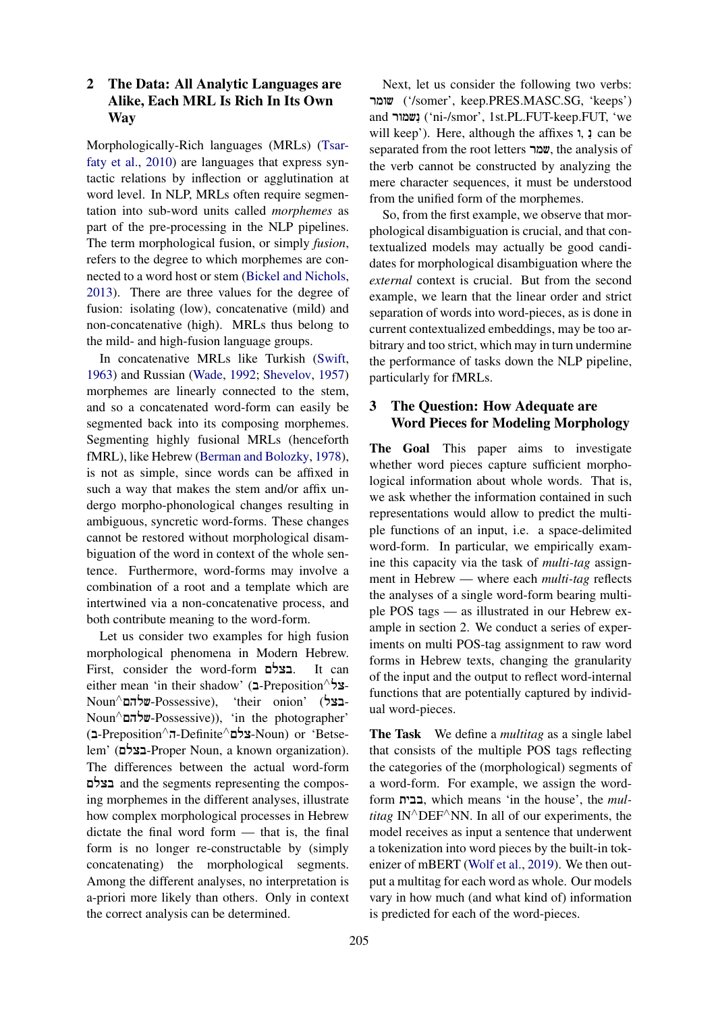## 2 The Data: All Analytic Languages are Alike, Each MRL Is Rich In Its Own Way

Morphologically-Rich languages (MRLs) [\(Tsar](#page-5-3)[faty et al.,](#page-5-3) [2010\)](#page-5-3) are languages that express syntactic relations by inflection or agglutination at word level. In NLP, MRLs often require segmentation into sub-word units called *morphemes* as part of the pre-processing in the NLP pipelines. The term morphological fusion, or simply *fusion*, refers to the degree to which morphemes are connected to a word host or stem [\(Bickel and Nichols,](#page-5-6) [2013\)](#page-5-6). There are three values for the degree of fusion: isolating (low), concatenative (mild) and non-concatenative (high). MRLs thus belong to the mild- and high-fusion language groups.

In concatenative MRLs like Turkish [\(Swift,](#page-5-7) [1963\)](#page-5-7) and Russian [\(Wade,](#page-5-8) [1992;](#page-5-8) [Shevelov,](#page-5-9) [1957\)](#page-5-9) morphemes are linearly connected to the stem, and so a concatenated word-form can easily be segmented back into its composing morphemes. Segmenting highly fusional MRLs (henceforth fMRL), like Hebrew [\(Berman and Bolozky,](#page-5-10) [1978\)](#page-5-10), is not as simple, since words can be affixed in such a way that makes the stem and/or affix undergo morpho-phonological changes resulting in ambiguous, syncretic word-forms. These changes cannot be restored without morphological disambiguation of the word in context of the whole sentence. Furthermore, word-forms may involve a combination of a root and a template which are intertwined via a non-concatenative process, and both contribute meaning to the word-form.

Let us consider two examples for high fusion morphological phenomena in Modern Hebrew. First, consider the word-form !Mבצל. It can either mean 'in their shadow' (בל-Preposition<sup>∧</sup> Noun∧!Mשלה-Possessive), 'their onion' (!בצל-Noun∧!Mשלה-Possessive)), 'in the photographer' (!ב-Preposition∧!ה-Definite∧!Mצל-Noun) or 'Betselem' (בצלם-Proper Noun, a known organization). The differences between the actual word-form !Mבצל and the segments representing the composing morphemes in the different analyses, illustrate how complex morphological processes in Hebrew dictate the final word form — that is, the final form is no longer re-constructable by (simply concatenating) the morphological segments. Among the different analyses, no interpretation is a-priori more likely than others. Only in context the correct analysis can be determined.

Next, let us consider the following two verbs: !שומר') /somer', keep.PRES.MASC.SG, 'keeps') and ישמור<sup></sup> ('ni-/smor', 1st.PL.FUT-keep.FUT, 'we will keep'). Here, although the affixes  $\mathbf{i}$ ,  $\mathbf{j}$  can be separated from the root letters !שמר, the analysis of the verb cannot be constructed by analyzing the mere character sequences, it must be understood from the unified form of the morphemes.

So, from the first example, we observe that morphological disambiguation is crucial, and that contextualized models may actually be good candidates for morphological disambiguation where the *external* context is crucial. But from the second example, we learn that the linear order and strict separation of words into word-pieces, as is done in current contextualized embeddings, may be too arbitrary and too strict, which may in turn undermine the performance of tasks down the NLP pipeline, particularly for fMRLs.

## 3 The Question: How Adequate are Word Pieces for Modeling Morphology

The Goal This paper aims to investigate whether word pieces capture sufficient morphological information about whole words. That is, we ask whether the information contained in such representations would allow to predict the multiple functions of an input, i.e. a space-delimited word-form. In particular, we empirically examine this capacity via the task of *multi-tag* assignment in Hebrew — where each *multi-tag* reflects the analyses of a single word-form bearing multiple POS tags — as illustrated in our Hebrew example in section 2. We conduct a series of experiments on multi POS-tag assignment to raw word forms in Hebrew texts, changing the granularity of the input and the output to reflect word-internal functions that are potentially captured by individual word-pieces.

The Task We define a *multitag* as a single label that consists of the multiple POS tags reflecting the categories of the (morphological) segments of a word-form. For example, we assign the wordform !בבית, which means 'in the house', the *multitag* IN<sup>∧</sup>DEF<sup>∧</sup>NN. In all of our experiments, the model receives as input a sentence that underwent a tokenization into word pieces by the built-in tokenizer of mBERT [\(Wolf et al.,](#page-5-11) [2019\)](#page-5-11). We then output a multitag for each word as whole. Our models vary in how much (and what kind of) information is predicted for each of the word-pieces.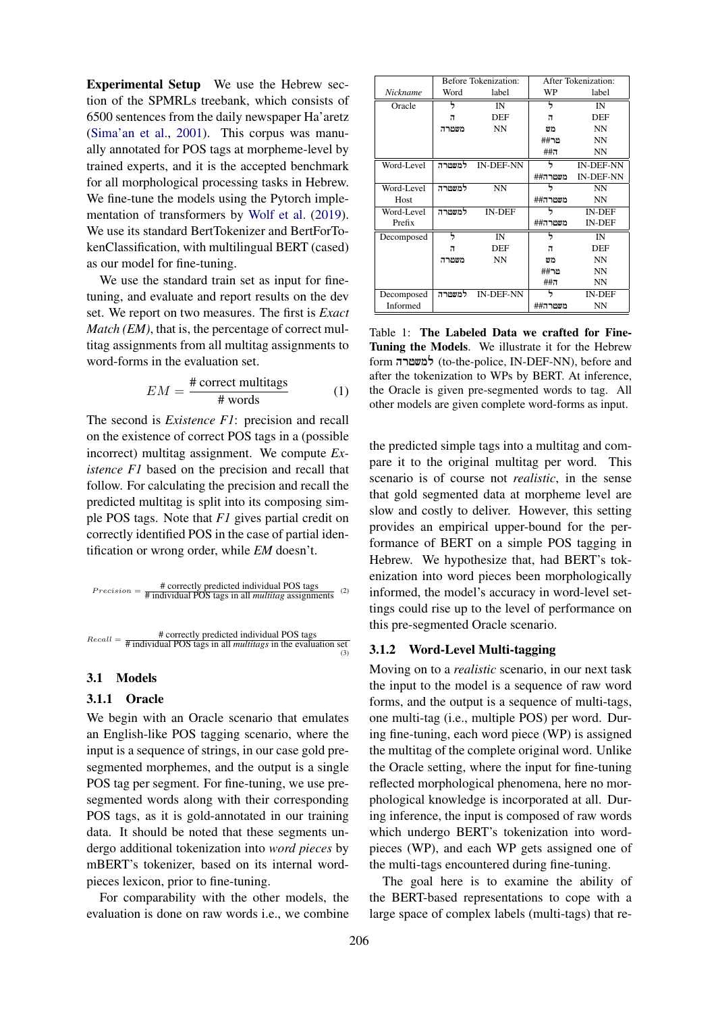Experimental Setup We use the Hebrew section of the SPMRLs treebank, which consists of 6500 sentences from the daily newspaper Ha'aretz [\(Sima'an et al.,](#page-5-12) [2001\)](#page-5-12). This corpus was manually annotated for POS tags at morpheme-level by trained experts, and it is the accepted benchmark for all morphological processing tasks in Hebrew. We fine-tune the models using the Pytorch implementation of transformers by [Wolf et al.](#page-5-11) [\(2019\)](#page-5-11). We use its standard BertTokenizer and BertForTokenClassification, with multilingual BERT (cased) as our model for fine-tuning.

We use the standard train set as input for finetuning, and evaluate and report results on the dev set. We report on two measures. The first is *Exact Match (EM)*, that is, the percentage of correct multitag assignments from all multitag assignments to word-forms in the evaluation set.

$$
EM = \frac{\text{\# correct multitags}}{\text{\# words}} \tag{1}
$$

The second is *Existence F1*: precision and recall on the existence of correct POS tags in a (possible incorrect) multitag assignment. We compute *Existence F1* based on the precision and recall that follow. For calculating the precision and recall the predicted multitag is split into its composing simple POS tags. Note that *F1* gives partial credit on correctly identified POS in the case of partial identification or wrong order, while *EM* doesn't.

$$
Precision = \frac{\text{# correctly predicted individual POS tags}}{\text{# individual POS tags in all multitag assignments}}
$$
 (2)



#### 3.1 Models

#### 3.1.1 Oracle

We begin with an Oracle scenario that emulates an English-like POS tagging scenario, where the input is a sequence of strings, in our case gold presegmented morphemes, and the output is a single POS tag per segment. For fine-tuning, we use presegmented words along with their corresponding POS tags, as it is gold-annotated in our training data. It should be noted that these segments undergo additional tokenization into *word pieces* by mBERT's tokenizer, based on its internal wordpieces lexicon, prior to fine-tuning.

For comparability with the other models, the evaluation is done on raw words i.e., we combine

<span id="page-2-0"></span>

|            |        | <b>Before Tokenization:</b> | After Tokenization: |                  |
|------------|--------|-----------------------------|---------------------|------------------|
| Nickname   | Word   | label                       | WP                  | label            |
| Oracle     |        | IN                          |                     | IN               |
|            | л      | DEF                         | π                   | DEF              |
|            | משטרה  | <b>NN</b>                   | מש                  | <b>NN</b>        |
|            |        |                             | ##מ                 | <b>NN</b>        |
|            |        |                             | $\#$ #1             | <b>NN</b>        |
| Word-Level | למשטרה | <b>IN-DEF-NN</b>            |                     | <b>IN-DEF-NN</b> |
|            |        |                             | משטרה##             | <b>IN-DEF-NN</b> |
| Word-Level | למשטרה | <b>NN</b>                   |                     | <b>NN</b>        |
| Host       |        |                             | משטרה##             | <b>NN</b>        |
| Word-Level | למשטרה | <b>IN-DEF</b>               |                     | <b>IN-DEF</b>    |
| Prefix     |        |                             | משמרה##             | <b>IN-DEF</b>    |
| Decomposed |        | IN                          |                     | IN               |
|            | π      | DEF                         | π                   | DEF              |
|            | משטרה  | <b>NN</b>                   | מש                  | <b>NN</b>        |
|            |        |                             | מר##                | <b>NN</b>        |
|            |        |                             | $\#$ #1             | <b>NN</b>        |
| Decomposed | למשטרה | <b>IN-DEF-NN</b>            |                     | <b>IN-DEF</b>    |
| Informed   |        |                             | משטרה##             | NN               |

Table 1: The Labeled Data we crafted for Fine-Tuning the Models. We illustrate it for the Hebrew form !למשטרה) to-the-police, IN-DEF-NN), before and after the tokenization to WPs by BERT. At inference, the Oracle is given pre-segmented words to tag. All other models are given complete word-forms as input.

the predicted simple tags into a multitag and compare it to the original multitag per word. This scenario is of course not *realistic*, in the sense that gold segmented data at morpheme level are slow and costly to deliver. However, this setting provides an empirical upper-bound for the performance of BERT on a simple POS tagging in Hebrew. We hypothesize that, had BERT's tokenization into word pieces been morphologically informed, the model's accuracy in word-level settings could rise up to the level of performance on this pre-segmented Oracle scenario.

#### 3.1.2 Word-Level Multi-tagging

Moving on to a *realistic* scenario, in our next task the input to the model is a sequence of raw word forms, and the output is a sequence of multi-tags, one multi-tag (i.e., multiple POS) per word. During fine-tuning, each word piece (WP) is assigned the multitag of the complete original word. Unlike the Oracle setting, where the input for fine-tuning reflected morphological phenomena, here no morphological knowledge is incorporated at all. During inference, the input is composed of raw words which undergo BERT's tokenization into wordpieces (WP), and each WP gets assigned one of the multi-tags encountered during fine-tuning.

The goal here is to examine the ability of the BERT-based representations to cope with a large space of complex labels (multi-tags) that re-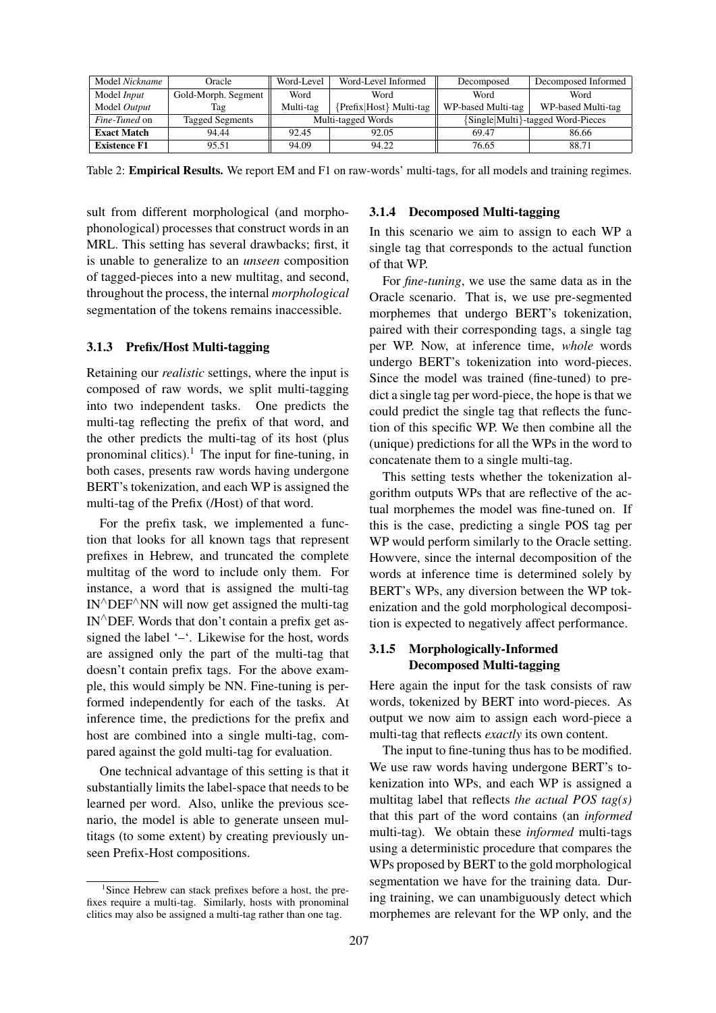<span id="page-3-1"></span>

| Model Nickname       | Oracle                 | Word-Level         | Word-Level Informed    | Decomposed                        | Decomposed Informed |
|----------------------|------------------------|--------------------|------------------------|-----------------------------------|---------------------|
| Model <i>Input</i>   | Gold-Morph. Segment    | Word               | Word                   | Word                              | Word                |
| Model Output         | Tag                    | Multi-tag          | Prefix Host} Multi-tag | WP-based Multi-tag                | WP-based Multi-tag  |
| <i>Fine-Tuned</i> on | <b>Tagged Segments</b> | Multi-tagged Words |                        | {Single Multi}-tagged Word-Pieces |                     |
| <b>Exact Match</b>   | 94.44                  | 92.45              | 92.05                  | 69.47                             | 86.66               |
| <b>Existence F1</b>  | 95.51                  | 94.09              | 94.22                  | 76.65                             | 88.71               |

Table 2: **Empirical Results.** We report EM and F1 on raw-words' multi-tags, for all models and training regimes.

sult from different morphological (and morphophonological) processes that construct words in an MRL. This setting has several drawbacks; first, it is unable to generalize to an *unseen* composition of tagged-pieces into a new multitag, and second, throughout the process, the internal *morphological* segmentation of the tokens remains inaccessible.

#### 3.1.3 Prefix/Host Multi-tagging

Retaining our *realistic* settings, where the input is composed of raw words, we split multi-tagging into two independent tasks. One predicts the multi-tag reflecting the prefix of that word, and the other predicts the multi-tag of its host (plus pronominal clitics).<sup>[1](#page-3-0)</sup> The input for fine-tuning, in both cases, presents raw words having undergone BERT's tokenization, and each WP is assigned the multi-tag of the Prefix (/Host) of that word.

For the prefix task, we implemented a function that looks for all known tags that represent prefixes in Hebrew, and truncated the complete multitag of the word to include only them. For instance, a word that is assigned the multi-tag IN∧DEF∧NN will now get assigned the multi-tag IN∧DEF. Words that don't contain a prefix get assigned the label '–'. Likewise for the host, words are assigned only the part of the multi-tag that doesn't contain prefix tags. For the above example, this would simply be NN. Fine-tuning is performed independently for each of the tasks. At inference time, the predictions for the prefix and host are combined into a single multi-tag, compared against the gold multi-tag for evaluation.

One technical advantage of this setting is that it substantially limits the label-space that needs to be learned per word. Also, unlike the previous scenario, the model is able to generate unseen multitags (to some extent) by creating previously unseen Prefix-Host compositions.

#### 3.1.4 Decomposed Multi-tagging

In this scenario we aim to assign to each WP a single tag that corresponds to the actual function of that WP.

For *fine-tuning*, we use the same data as in the Oracle scenario. That is, we use pre-segmented morphemes that undergo BERT's tokenization, paired with their corresponding tags, a single tag per WP. Now, at inference time, *whole* words undergo BERT's tokenization into word-pieces. Since the model was trained (fine-tuned) to predict a single tag per word-piece, the hope is that we could predict the single tag that reflects the function of this specific WP. We then combine all the (unique) predictions for all the WPs in the word to concatenate them to a single multi-tag.

This setting tests whether the tokenization algorithm outputs WPs that are reflective of the actual morphemes the model was fine-tuned on. If this is the case, predicting a single POS tag per WP would perform similarly to the Oracle setting. Howvere, since the internal decomposition of the words at inference time is determined solely by BERT's WPs, any diversion between the WP tokenization and the gold morphological decomposition is expected to negatively affect performance.

## 3.1.5 Morphologically-Informed Decomposed Multi-tagging

Here again the input for the task consists of raw words, tokenized by BERT into word-pieces. As output we now aim to assign each word-piece a multi-tag that reflects *exactly* its own content.

The input to fine-tuning thus has to be modified. We use raw words having undergone BERT's tokenization into WPs, and each WP is assigned a multitag label that reflects *the actual POS tag(s)* that this part of the word contains (an *informed* multi-tag). We obtain these *informed* multi-tags using a deterministic procedure that compares the WPs proposed by BERT to the gold morphological segmentation we have for the training data. During training, we can unambiguously detect which morphemes are relevant for the WP only, and the

<span id="page-3-0"></span><sup>&</sup>lt;sup>1</sup>Since Hebrew can stack prefixes before a host, the prefixes require a multi-tag. Similarly, hosts with pronominal clitics may also be assigned a multi-tag rather than one tag.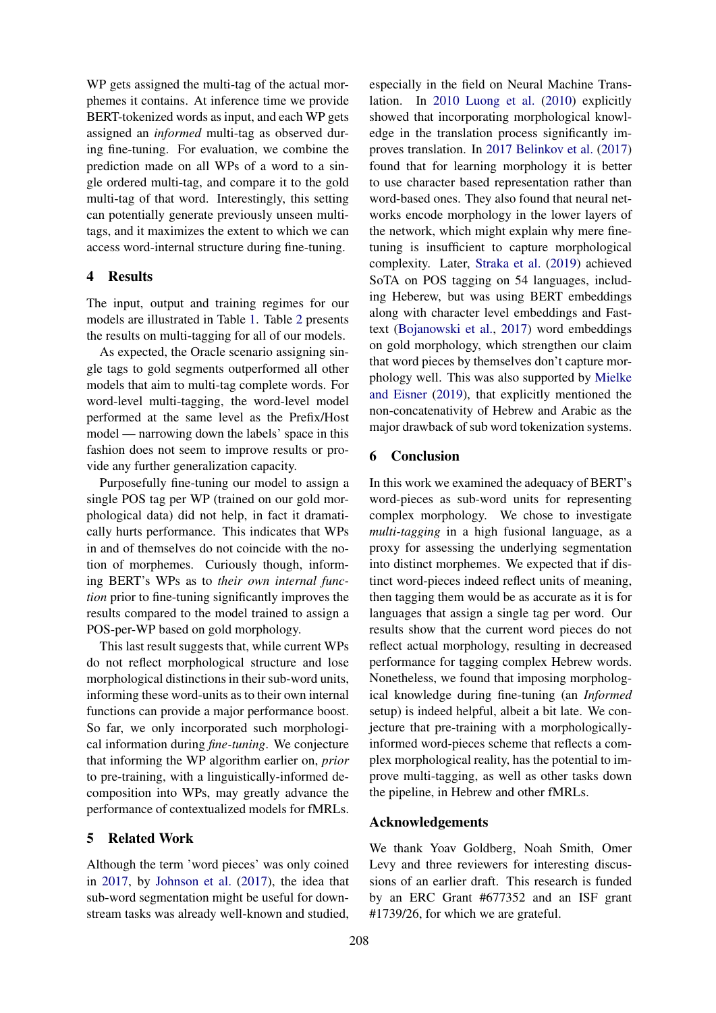WP gets assigned the multi-tag of the actual morphemes it contains. At inference time we provide BERT-tokenized words as input, and each WP gets assigned an *informed* multi-tag as observed during fine-tuning. For evaluation, we combine the prediction made on all WPs of a word to a single ordered multi-tag, and compare it to the gold multi-tag of that word. Interestingly, this setting can potentially generate previously unseen multitags, and it maximizes the extent to which we can access word-internal structure during fine-tuning.

#### 4 Results

The input, output and training regimes for our models are illustrated in Table [1.](#page-2-0) Table [2](#page-3-1) presents the results on multi-tagging for all of our models.

As expected, the Oracle scenario assigning single tags to gold segments outperformed all other models that aim to multi-tag complete words. For word-level multi-tagging, the word-level model performed at the same level as the Prefix/Host model — narrowing down the labels' space in this fashion does not seem to improve results or provide any further generalization capacity.

Purposefully fine-tuning our model to assign a single POS tag per WP (trained on our gold morphological data) did not help, in fact it dramatically hurts performance. This indicates that WPs in and of themselves do not coincide with the notion of morphemes. Curiously though, informing BERT's WPs as to *their own internal function* prior to fine-tuning significantly improves the results compared to the model trained to assign a POS-per-WP based on gold morphology.

This last result suggests that, while current WPs do not reflect morphological structure and lose morphological distinctions in their sub-word units, informing these word-units as to their own internal functions can provide a major performance boost. So far, we only incorporated such morphological information during *fine-tuning*. We conjecture that informing the WP algorithm earlier on, *prior* to pre-training, with a linguistically-informed decomposition into WPs, may greatly advance the performance of contextualized models for fMRLs.

## 5 Related Work

Although the term 'word pieces' was only coined in [2017,](#page-5-2) by [Johnson et al.](#page-5-2) [\(2017\)](#page-5-2), the idea that sub-word segmentation might be useful for downstream tasks was already well-known and studied,

especially in the field on Neural Machine Translation. In [2010](#page-5-13) [Luong et al.](#page-5-13) [\(2010\)](#page-5-13) explicitly showed that incorporating morphological knowledge in the translation process significantly improves translation. In [2017](#page-5-14) [Belinkov et al.](#page-5-14) [\(2017\)](#page-5-14) found that for learning morphology it is better to use character based representation rather than word-based ones. They also found that neural networks encode morphology in the lower layers of the network, which might explain why mere finetuning is insufficient to capture morphological complexity. Later, [Straka et al.](#page-5-15) [\(2019\)](#page-5-15) achieved SoTA on POS tagging on 54 languages, including Heberew, but was using BERT embeddings along with character level embeddings and Fasttext [\(Bojanowski et al.,](#page-5-16) [2017\)](#page-5-16) word embeddings on gold morphology, which strengthen our claim that word pieces by themselves don't capture morphology well. This was also supported by [Mielke](#page-5-17) [and Eisner](#page-5-17) [\(2019\)](#page-5-17), that explicitly mentioned the non-concatenativity of Hebrew and Arabic as the major drawback of sub word tokenization systems.

## 6 Conclusion

In this work we examined the adequacy of BERT's word-pieces as sub-word units for representing complex morphology. We chose to investigate *multi-tagging* in a high fusional language, as a proxy for assessing the underlying segmentation into distinct morphemes. We expected that if distinct word-pieces indeed reflect units of meaning, then tagging them would be as accurate as it is for languages that assign a single tag per word. Our results show that the current word pieces do not reflect actual morphology, resulting in decreased performance for tagging complex Hebrew words. Nonetheless, we found that imposing morphological knowledge during fine-tuning (an *Informed* setup) is indeed helpful, albeit a bit late. We conjecture that pre-training with a morphologicallyinformed word-pieces scheme that reflects a complex morphological reality, has the potential to improve multi-tagging, as well as other tasks down the pipeline, in Hebrew and other fMRLs.

#### Acknowledgements

We thank Yoav Goldberg, Noah Smith, Omer Levy and three reviewers for interesting discussions of an earlier draft. This research is funded by an ERC Grant #677352 and an ISF grant #1739/26, for which we are grateful.